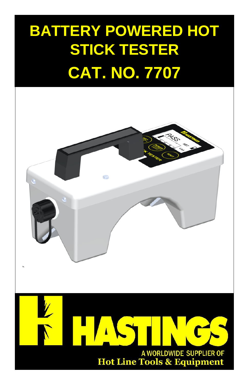# **BATTERY POWERED HOT STICK TESTER CAT. NO. 7707**

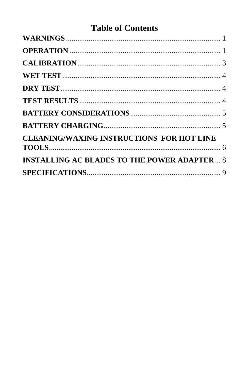# **Table of Contents**

| <b>CLEANING/WAXING INSTRUCTIONS FOR HOT LINE</b>   |  |
|----------------------------------------------------|--|
| <b>INSTALLING AC BLADES TO THE POWER ADAPTER 8</b> |  |
|                                                    |  |
|                                                    |  |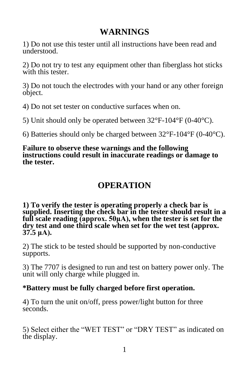## **WARNINGS**

<span id="page-3-0"></span>1) Do not use this tester until all instructions have been read and understood.

2) Do not try to test any equipment other than fiberglass hot sticks with this tester.

3) Do not touch the electrodes with your hand or any other foreign object.

4) Do not set tester on conductive surfaces when on.

5) Unit should only be operated between 32°F-104°F (0-40°C).

6) Batteries should only be charged between 32°F-104°F (0-40°C).

#### **Failure to observe these warnings and the following instructions could result in inaccurate readings or damage to the tester.**

## **OPERATION**

<span id="page-3-1"></span>**1) To verify the tester is operating properly a check bar is supplied. Inserting the check bar in the tester should result in a full scale reading (approx. 50μA), when the tester is set for the dry test and one third scale when set for the wet test (approx. 37.5 μA).** 

2) The stick to be tested should be supported by non-conductive supports.

3) The 7707 is designed to run and test on battery power only. The unit will only charge while plugged in.

#### **\*Battery must be fully charged before first operation.**

4) To turn the unit on/off, press power/light button for three seconds.

5) Select either the "WET TEST" or "DRY TEST" as indicated on the display.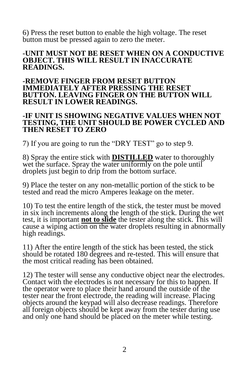6) Press the reset button to enable the high voltage. The reset button must be pressed again to zero the meter.

#### **-UNIT MUST NOT BE RESET WHEN ON A CONDUCTIVE OBJECT. THIS WILL RESULT IN INACCURATE READINGS.**

#### **-REMOVE FINGER FROM RESET BUTTON IMMEDIATELY AFTER PRESSING THE RESET BUTTON. LEAVING FINGER ON THE BUTTON WILL RESULT IN LOWER READINGS.**

#### **-IF UNIT IS SHOWING NEGATIVE VALUES WHEN NOT TESTING, THE UNIT SHOULD BE POWER CYCLED AND THEN RESET TO ZERO**

7) If you are going to run the "DRY TEST" go to step 9.

8) Spray the entire stick with **DISTILLED** water to thoroughly wet the surface. Spray the water uniformly on the pole until droplets just begin to drip from the bottom surface.

9) Place the tester on any non-metallic portion of the stick to be tested and read the micro Amperes leakage on the meter.

10) To test the entire length of the stick, the tester must be moved in six inch increments along the length of the stick. During the wet test, it is important **not to slide** the tester along the stick. This will cause a wiping action on the water droplets resulting in abnormally high readings.

11) After the entire length of the stick has been tested, the stick should be rotated 180 degrees and re-tested. This will ensure that the most critical reading has been obtained.

12) The tester will sense any conductive object near the electrodes. Contact with the electrodes is not necessary for this to happen. If the operator were to place their hand around the outside of the tester near the front electrode, the reading will increase. Placing objects around the keypad will also decrease readings. Therefore all foreign objects should be kept away from the tester during use and only one hand should be placed on the meter while testing.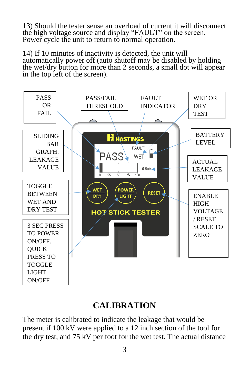13) Should the tester sense an overload of current it will disconnect the high voltage source and display "FAULT" on the screen. Power cycle the unit to return to normal operation.

14) If 10 minutes of inactivity is detected, the unit will automatically power off (auto shutoff may be disabled by holding the wet/dry button for more than 2 seconds, a small dot will appear in the top left of the screen).



## **CALIBRATION**

<span id="page-5-0"></span>The meter is calibrated to indicate the leakage that would be present if 100 kV were applied to a 12 inch section of the tool for the dry test, and 75 kV per foot for the wet test. The actual distance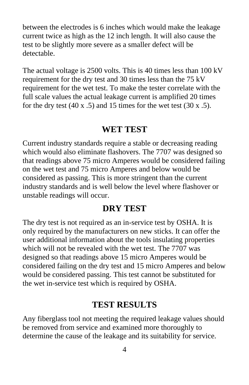between the electrodes is 6 inches which would make the leakage current twice as high as the 12 inch length. It will also cause the test to be slightly more severe as a smaller defect will be detectable.

The actual voltage is 2500 volts. This is 40 times less than 100 kV requirement for the dry test and 30 times less than the 75 kV requirement for the wet test. To make the tester correlate with the full scale values the actual leakage current is amplified 20 times for the dry test  $(40 \times .5)$  and 15 times for the wet test  $(30 \times .5)$ .

#### **WET TEST**

<span id="page-6-0"></span>Current industry standards require a stable or decreasing reading which would also eliminate flashovers. The 7707 was designed so that readings above 75 micro Amperes would be considered failing on the wet test and 75 micro Amperes and below would be considered as passing. This is more stringent than the current industry standards and is well below the level where flashover or unstable readings will occur.

## **DRY TEST**

<span id="page-6-1"></span>The dry test is not required as an in-service test by OSHA. It is only required by the manufacturers on new sticks. It can offer the user additional information about the tools insulating properties which will not be revealed with the wet test. The 7707 was designed so that readings above 15 micro Amperes would be considered failing on the dry test and 15 micro Amperes and below would be considered passing. This test cannot be substituted for the wet in-service test which is required by OSHA.

#### **TEST RESULTS**

<span id="page-6-2"></span>Any fiberglass tool not meeting the required leakage values should be removed from service and examined more thoroughly to determine the cause of the leakage and its suitability for service.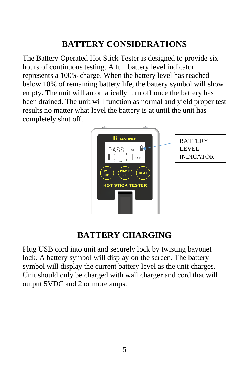## **BATTERY CONSIDERATIONS**

<span id="page-7-0"></span>The Battery Operated Hot Stick Tester is designed to provide six hours of continuous testing. A full battery level indicator represents a 100% charge. When the battery level has reached below 10% of remaining battery life, the battery symbol will show empty. The unit will automatically turn off once the battery has been drained. The unit will function as normal and yield proper test results no matter what level the battery is at until the unit has completely shut off.



## **BATTERY CHARGING**

<span id="page-7-1"></span>Plug USB cord into unit and securely lock by twisting bayonet lock. A battery symbol will display on the screen. The battery symbol will display the current battery level as the unit charges. Unit should only be charged with wall charger and cord that will output 5VDC and 2 or more amps.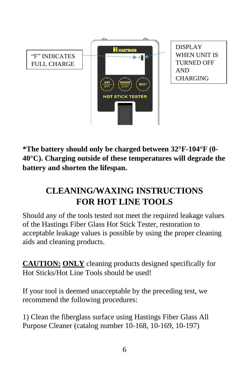

**\*The battery should only be charged between 32°F-104°F (0- 40°C). Charging outside of these temperatures will degrade the battery and shorten the lifespan.**

# <span id="page-8-0"></span>**CLEANING/WAXING INSTRUCTIONS FOR HOT LINE TOOLS**

Should any of the tools tested not meet the required leakage values of the Hastings Fiber Glass Hot Stick Tester, restoration to acceptable leakage values is possible by using the proper cleaning aids and cleaning products.

**CAUTION: ONLY** cleaning products designed specifically for Hot Sticks/Hot Line Tools should be used!

If your tool is deemed unacceptable by the preceding test, we recommend the following procedures:

1) Clean the fiberglass surface using Hastings Fiber Glass All Purpose Cleaner (catalog number 10-168, 10-169, 10-197)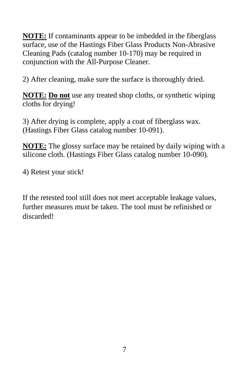**NOTE:** If contaminants appear to be imbedded in the fiberglass surface, use of the Hastings Fiber Glass Products Non-Abrasive Cleaning Pads (catalog number 10-170) may be required in conjunction with the All-Purpose Cleaner.

2) After cleaning, make sure the surface is thoroughly dried.

**NOTE: Do not** use any treated shop cloths, or synthetic wiping cloths for drying!

3) After drying is complete, apply a coat of fiberglass wax. (Hastings Fiber Glass catalog number 10-091).

**NOTE:** The glossy surface may be retained by daily wiping with a silicone cloth. (Hastings Fiber Glass catalog number 10-090).

4) Retest your stick!

If the retested tool still does not meet acceptable leakage values, further measures must be taken. The tool must be refinished or discarded!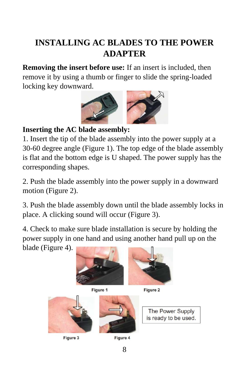# <span id="page-10-0"></span>**INSTALLING AC BLADES TO THE POWER ADAPTER**

**Removing the insert before use:** If an insert is included, then remove it by using a thumb or finger to slide the spring-loaded locking key downward.



## **Inserting the AC blade assembly:**

1. Insert the tip of the blade assembly into the power supply at a 30-60 degree angle (Figure 1). The top edge of the blade assembly is flat and the bottom edge is U shaped. The power supply has the corresponding shapes.

2. Push the blade assembly into the power supply in a downward motion (Figure 2).

3. Push the blade assembly down until the blade assembly locks in place. A clicking sound will occur (Figure 3).

4. Check to make sure blade installation is secure by holding the power supply in one hand and using another hand pull up on the blade (Figure 4).



Figure 1



Figure 2



Figure 3



Figure 4

The Power Supply is ready to be used.